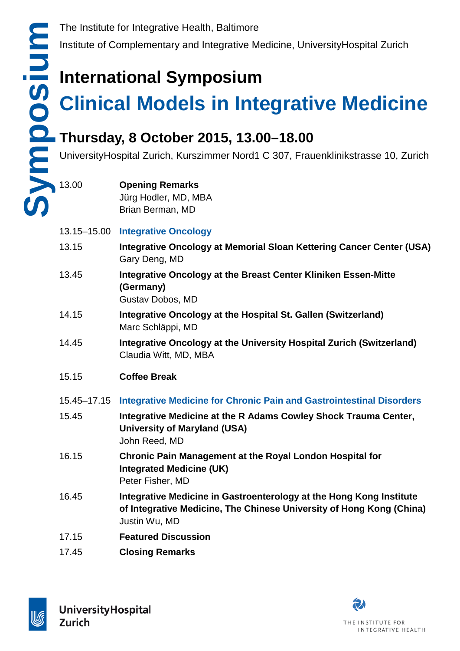Institute of Complementary and Integrative Medicine, UniversityHospital Zurich

## **International Symposium**

# **Clinical Models in Integrative Medicine**

### **Thursday, 8 October 2015, 13.00–18.00**

UniversityHospital Zurich, Kurszimmer Nord1 C 307, Frauenklinikstrasse 10, Zurich

### **Opening Remarks** Jürg Hodler, MD, MBA Brian Berman, MD

### 13.15–15.00 **Integrative Oncology**

- 13.15 **Integrative Oncology at Memorial Sloan Kettering Cancer Center (USA)** Gary Deng, MD
- 13.45 **Integrative Oncology at the Breast Center Kliniken Essen-Mitte (Germany)** Gustav Dobos, MD
- 14.15 **Integrative Oncology at the Hospital St. Gallen (Switzerland)** Marc Schläppi, MD
- 14.45 **Integrative Oncology at the University Hospital Zurich (Switzerland)** Claudia Witt, MD, MBA
- 15.15 **Coffee Break**
- 15.45–17.15 **Integrative Medicine for Chronic Pain and Gastrointestinal Disorders**
- 15.45 **Integrative Medicine at the R Adams Cowley Shock Trauma Center, University of Maryland (USA)** John Reed, MD
- 16.15 **Chronic Pain Management at the Royal London Hospital for Integrated Medicine (UK)** Peter Fisher, MD
- 16.45 **Integrative Medicine in Gastroenterology at the Hong Kong Institute of Integrative Medicine, The Chinese University of Hong Kong (China)** Justin Wu, MD
- 17.15 **Featured Discussion**
- 17.45 **Closing Remarks**